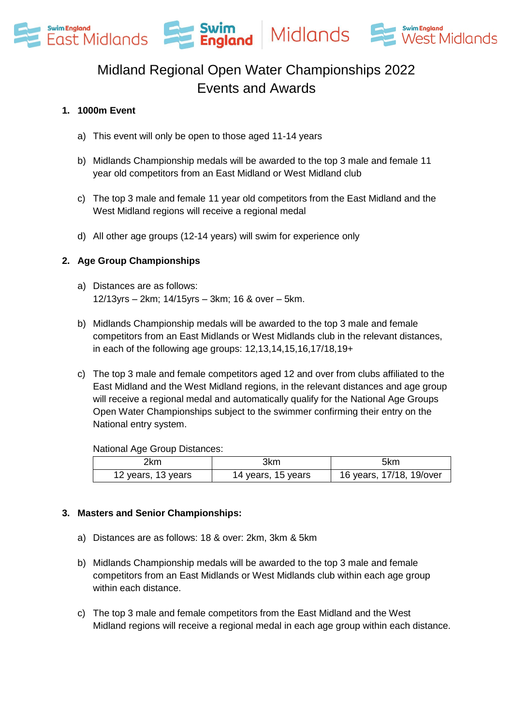

## Midland Regional Open Water Championships 2022 Events and Awards

### **1. 1000m Event**

- a) This event will only be open to those aged 11-14 years
- b) Midlands Championship medals will be awarded to the top 3 male and female 11 year old competitors from an East Midland or West Midland club
- c) The top 3 male and female 11 year old competitors from the East Midland and the West Midland regions will receive a regional medal
- d) All other age groups (12-14 years) will swim for experience only

### **2. Age Group Championships**

- a) Distances are as follows: 12/13yrs – 2km; 14/15yrs – 3km; 16 & over – 5km.
- b) Midlands Championship medals will be awarded to the top 3 male and female competitors from an East Midlands or West Midlands club in the relevant distances, in each of the following age groups: 12,13,14,15,16,17/18,19+
- c) The top 3 male and female competitors aged 12 and over from clubs affiliated to the East Midland and the West Midland regions, in the relevant distances and age group will receive a regional medal and automatically qualify for the National Age Groups Open Water Championships subject to the swimmer confirming their entry on the National entry system.

#### National Age Group Distances:

| 2km                | 3km                | 5km                      |
|--------------------|--------------------|--------------------------|
| 12 years, 13 years | 14 years, 15 years | 16 years, 17/18, 19/over |

### **3. Masters and Senior Championships:**

- a) Distances are as follows: 18 & over: 2km, 3km & 5km
- b) Midlands Championship medals will be awarded to the top 3 male and female competitors from an East Midlands or West Midlands club within each age group within each distance.
- c) The top 3 male and female competitors from the East Midland and the West Midland regions will receive a regional medal in each age group within each distance.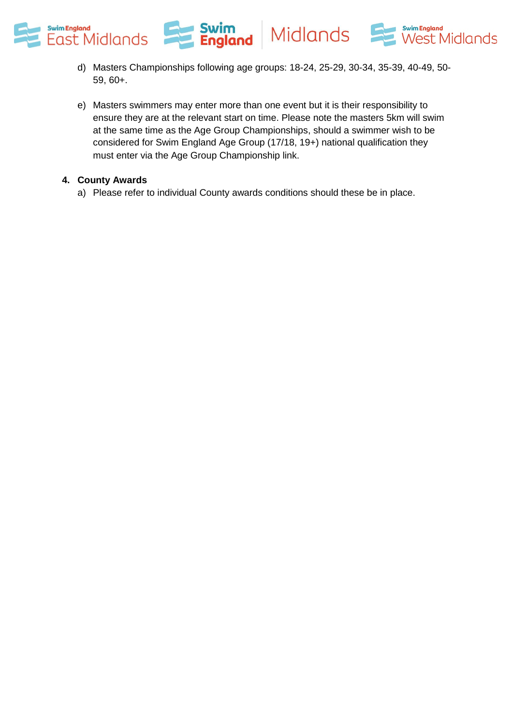

- d) Masters Championships following age groups: 18-24, 25-29, 30-34, 35-39, 40-49, 50- 59, 60+.
- e) Masters swimmers may enter more than one event but it is their responsibility to ensure they are at the relevant start on time. Please note the masters 5km will swim at the same time as the Age Group Championships, should a swimmer wish to be considered for Swim England Age Group (17/18, 19+) national qualification they must enter via the Age Group Championship link.

### **4. County Awards**

a) Please refer to individual County awards conditions should these be in place.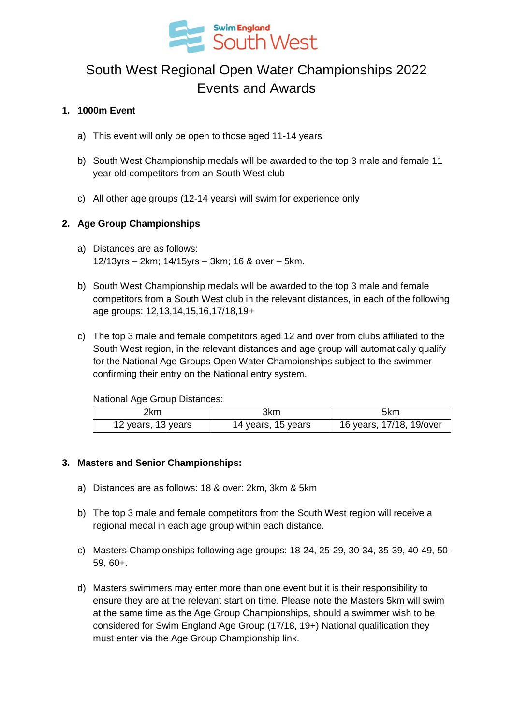

# South West Regional Open Water Championships 2022 Events and Awards

### **1. 1000m Event**

- a) This event will only be open to those aged 11-14 years
- b) South West Championship medals will be awarded to the top 3 male and female 11 year old competitors from an South West club
- c) All other age groups (12-14 years) will swim for experience only

### **2. Age Group Championships**

- a) Distances are as follows: 12/13yrs – 2km; 14/15yrs – 3km; 16 & over – 5km.
- b) South West Championship medals will be awarded to the top 3 male and female competitors from a South West club in the relevant distances, in each of the following age groups: 12,13,14,15,16,17/18,19+
- c) The top 3 male and female competitors aged 12 and over from clubs affiliated to the South West region, in the relevant distances and age group will automatically qualify for the National Age Groups Open Water Championships subject to the swimmer confirming their entry on the National entry system.

National Age Group Distances:

| 2km                | 3km                | 5km                      |
|--------------------|--------------------|--------------------------|
| 12 years, 13 years | 14 years, 15 years | 16 years, 17/18, 19/over |

### **3. Masters and Senior Championships:**

- a) Distances are as follows: 18 & over: 2km, 3km & 5km
- b) The top 3 male and female competitors from the South West region will receive a regional medal in each age group within each distance.
- c) Masters Championships following age groups: 18-24, 25-29, 30-34, 35-39, 40-49, 50- 59, 60+.
- d) Masters swimmers may enter more than one event but it is their responsibility to ensure they are at the relevant start on time. Please note the Masters 5km will swim at the same time as the Age Group Championships, should a swimmer wish to be considered for Swim England Age Group (17/18, 19+) National qualification they must enter via the Age Group Championship link.